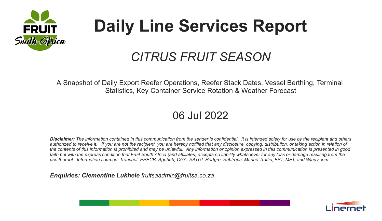

# **Daily Line Services Report**

## *CITRUS FRUIT SEASON*

A Snapshot of Daily Export Reefer Operations, Reefer Stack Dates, Vessel Berthing, Terminal Statistics, Key Container Service Rotation & Weather Forecast

### 06 Jul 2022

*Disclaimer: The information contained in this communication from the sender is confidential. It is intended solely for use by the recipient and others authorized to receive it. If you are not the recipient, you are hereby notified that any disclosure, copying, distribution, or taking action in relation of the contents of this information is prohibited and may be unlawful. Any information or opinion expressed in this communication is presented in good faith but with the express condition that Fruit South Africa (and affiliates) accepts no liability whatsoever for any loss or damage resulting from the use thereof. Information sources: Transnet, PPECB, Agrihub, CGA, SATGI, Hortgro, Subtrops, Marine Traffic, FPT, MFT, and Windy.com.*

*Enquiries: Clementine Lukhele fruitsaadmin@fruitsa.co.za*

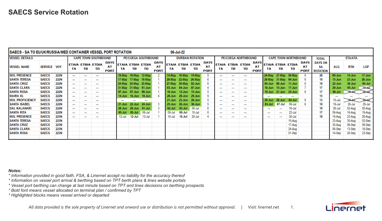|                        | 06-Jul-22<br>SAECS - SA TO EU/UK/RUSSIA/MED CONTAINER VESSEL PORT ROTATION<br><b>CAPE TOWN NORTHBOUND</b><br><b>CAPE TOWN SOUTHBOUND</b> |             |        |                          |                          |                           |                          |                                                                                                                                                                                                                                                                                                                                                                                                                                                                            |                          |                                  |                        |                          |            |                           |                          |                          |                    |                           |                          |                         |          |                           |                                         |            |            |            |
|------------------------|------------------------------------------------------------------------------------------------------------------------------------------|-------------|--------|--------------------------|--------------------------|---------------------------|--------------------------|----------------------------------------------------------------------------------------------------------------------------------------------------------------------------------------------------------------------------------------------------------------------------------------------------------------------------------------------------------------------------------------------------------------------------------------------------------------------------|--------------------------|----------------------------------|------------------------|--------------------------|------------|---------------------------|--------------------------|--------------------------|--------------------|---------------------------|--------------------------|-------------------------|----------|---------------------------|-----------------------------------------|------------|------------|------------|
| <b>VESSEL DETAILS</b>  |                                                                                                                                          |             |        |                          |                          |                           | PE/COEGA SOUTHBOUND      |                                                                                                                                                                                                                                                                                                                                                                                                                                                                            |                          |                                  | <b>DURBAN ROTATION</b> |                          |            |                           | PE/COEGA NORTHBOUND      |                          |                    |                           |                          |                         |          |                           | <b>TOTAL</b>                            |            | ETA/ATA    |            |
| <b>VESSEL NAME</b>     | <b>SERVICE</b>                                                                                                                           | VOY.        | TA     | TВ                       | ETAIA ETBIA ETDIA<br>TD  | DAYS<br>AT<br><b>PORT</b> | ETAIA ETBIA ETDIA<br>TA  | тв                                                                                                                                                                                                                                                                                                                                                                                                                                                                         | TD.                      | <b>DAYS</b><br>AT<br><b>PORT</b> | <b>ETAIA</b><br>TA     | <b>ETBIA ETDIA</b><br>TB | TD         | DAYS<br>AT<br><b>PORT</b> | <b>ETAIA</b><br>TA       | <b>ETBIA</b><br>TB       | <b>ETDIA</b><br>TD | <b>DAYS</b><br>AT<br>PORT | ТA                       | ETAIA ETBIA ETDIA<br>тв | TD       | DAYS<br>AT<br><b>PORT</b> | <b>DAYS ON</b><br>SΑ<br><b>ROTATION</b> | ALG        | <b>RTM</b> | <b>LGP</b> |
| <b>MOL PRESENCE</b>    | <b>SAECS</b>                                                                                                                             | <b>222N</b> | $\sim$ | $\overline{\phantom{a}}$ | $\sim$                   |                           | $10-Mav$                 | 10-May                                                                                                                                                                                                                                                                                                                                                                                                                                                                     | 12-May                   |                                  | 14-Mav                 | 16-May                   | 19-May     |                           | $\cdots$                 | $\sim$                   | $\cdots$           |                           | 24-May                   | 27-May                  | 30-May   |                           | 20                                      | 09-Jun     | 14-Jun     | 17-Jun     |
| <b>SANTA TERESA</b>    | <b>SAECS</b>                                                                                                                             | <b>222N</b> | $\sim$ | $\overline{\phantom{a}}$ | ---                      |                           | <b>17-May</b>            | 17-May                                                                                                                                                                                                                                                                                                                                                                                                                                                                     | 18-May                   |                                  | 20-May                 | 22-May                   | -26-Mav    |                           | --                       | $\overline{\phantom{a}}$ | ---                |                           | 29-May                   | 31-May                  | 04-Jun   |                           | 18                                      | 15-Jun     | $23$ -Jun  | 26-Jun     |
| <b>SANTA CRUZ</b>      | <b>SAECS</b>                                                                                                                             | <b>222N</b> | $\sim$ | $\sim$                   | $\sim$                   |                           | 24-May 24-May            |                                                                                                                                                                                                                                                                                                                                                                                                                                                                            | 25-May                   |                                  | 27-Mav                 | 30-May                   | 02-Jun     |                           | ---                      | ---                      | ---                |                           | 05-Jun                   | $08$ -Jun               | 11-Jun   |                           | 18                                      | $22$ -Jun  | 30-Jun     | 04-Jul     |
| <b>SANTA CLARA</b>     | SAECS                                                                                                                                    | <b>222N</b> | $\sim$ | $\overline{\phantom{a}}$ | $\overline{\phantom{a}}$ |                           | 31-May                   | 31-May                                                                                                                                                                                                                                                                                                                                                                                                                                                                     | 01-Jun                   |                                  | 03-Jun                 | 04-Jun                   | 07-Jun     |                           | $\overline{\phantom{a}}$ | $\overline{\phantom{a}}$ | ---                |                           | $10 - Jun$               | 15-Jun                  | 17-Jun   |                           | 17                                      | 29-Jun     | $05$ -Jul  |            |
| <b>SANTA ROSA</b>      | <b>SAECS</b>                                                                                                                             | <b>222N</b> | $\sim$ | $\sim$                   | ---                      |                           | $07$ -Jun                | 07-Jun                                                                                                                                                                                                                                                                                                                                                                                                                                                                     | 08-Jun                   |                                  | $10 - \text{lun}$      | 12-Jun                   | 15-Jun     |                           | $\overline{\phantom{a}}$ | $\overline{\phantom{a}}$ | $\sim$             |                           | $18$ -Jun                | 21-Jun                  | - 24-Jun |                           | 17                                      | 06-Jul     |            |            |
| <b>MAIRA XL</b>        | <b>SAECS</b>                                                                                                                             | <b>222N</b> | $\sim$ | $\overline{\phantom{a}}$ | ---                      |                           | 14-Jun                   | 16-Jun                                                                                                                                                                                                                                                                                                                                                                                                                                                                     | 18-Jun                   |                                  | $20 - Jun$             | $20 - Jun$               | 29-Jun     |                           | --                       | $\cdots$                 | $\cdots$           |                           | ---                      | $\cdots$                | $\sim$   |                           | 15                                      | ---        |            |            |
| <b>MOL PROFICIENCY</b> | <b>SAECS</b>                                                                                                                             | <b>222N</b> | $\sim$ | $\sim$                   | $\sim$                   |                           | $\overline{\phantom{a}}$ | $\frac{1}{2} \left( \frac{1}{2} \right) \left( \frac{1}{2} \right) \left( \frac{1}{2} \right) \left( \frac{1}{2} \right) \left( \frac{1}{2} \right) \left( \frac{1}{2} \right) \left( \frac{1}{2} \right) \left( \frac{1}{2} \right) \left( \frac{1}{2} \right) \left( \frac{1}{2} \right) \left( \frac{1}{2} \right) \left( \frac{1}{2} \right) \left( \frac{1}{2} \right) \left( \frac{1}{2} \right) \left( \frac{1}{2} \right) \left( \frac{1}{2} \right) \left( \frac$ | $\overline{\phantom{a}}$ |                                  | 21-Jun                 | $23$ -Jun                | 26-Jun     |                           | $\sim$                   | $\overline{\phantom{a}}$ | --                 |                           | 28-Jun                   | 28-Jun                  | 04-Jul   |                           | 13                                      | $15$ -Jul  |            |            |
| <b>SANTA ISABEL</b>    | <b>SAECS</b>                                                                                                                             | <b>222N</b> | $\sim$ | $\overline{\phantom{a}}$ | ---                      |                           | 21-Jun                   | $22$ -Jun                                                                                                                                                                                                                                                                                                                                                                                                                                                                  | 24-Jun                   |                                  | 25-Jun                 | 26-Jun                   | 30-Jun     |                           | ---                      | $\cdots$                 | $\cdots$           |                           | 03-Jul                   | 07-Jul                  | 09-Jul   |                           | 18                                      | $19 -$ Jul | 26-Jul     | 29-Jul     |
| <b>DAL KALAHARI</b>    | <b>SAECS</b>                                                                                                                             | <b>222N</b> | $\sim$ | $\overline{\phantom{a}}$ | --                       |                           | 28-Jun                   | $28$ -Jun                                                                                                                                                                                                                                                                                                                                                                                                                                                                  | 01-Jul                   |                                  | 02-Jul                 | 03-Jul                   | 08-Jul     |                           | --                       | --                       | --                 |                           | --                       |                         | 16-Jul   |                           | 18                                      | 26-Jul     | 02-Aug     | 05-Aug     |
| <b>SANTA RITA</b>      | <b>SAECS</b>                                                                                                                             | <b>222N</b> | $\sim$ | $\cdots$                 | $\sim$                   |                           | 05-Jul                   | $05$ -Jul                                                                                                                                                                                                                                                                                                                                                                                                                                                                  | 06-Jul                   |                                  | 09-Jul                 | 09-Jul                   | $15 -$ Jul |                           | $\sim$                   | $\cdots$                 | $\cdots$           |                           | $\sim$                   | $\cdots$                | 22-Jul   |                           | 17                                      | 09-Aug     | 16-Aug     | 19-Aug     |
| <b>MOL PRESENCE</b>    | <b>SAECS</b>                                                                                                                             | 223N        | $\sim$ | $\overline{\phantom{a}}$ | ---                      |                           | 12-Jul                   | 12-Jul                                                                                                                                                                                                                                                                                                                                                                                                                                                                     | 13-Jul                   |                                  | 16-Jul                 | 16-Jul                   | 20-Jul     |                           | --                       | $\overline{\phantom{a}}$ | ---                |                           | $\overline{\phantom{a}}$ | $\cdots$                | 30-Jul   |                           | 18                                      | 16-Aug     | 23-Aug     | 26-Aug     |
| <b>SANTA TERESA</b>    | <b>SAECS</b>                                                                                                                             | <b>223N</b> |        |                          |                          |                           |                          |                                                                                                                                                                                                                                                                                                                                                                                                                                                                            |                          |                                  |                        |                          |            |                           |                          |                          |                    |                           |                          |                         | 10-Aug   |                           |                                         | 23-Aug     | 30-Aug     | 02-Sep     |
| <b>SANTA CRUZ</b>      | <b>SAECS</b>                                                                                                                             | <b>223N</b> |        |                          |                          |                           |                          |                                                                                                                                                                                                                                                                                                                                                                                                                                                                            |                          |                                  |                        |                          |            |                           |                          |                          |                    |                           |                          |                         | 17-Aug   |                           |                                         | 30-Aug     | 06-Sep     | 09-Sep     |
| SANTA CLARA            | <b>SAECS</b>                                                                                                                             | <b>223N</b> |        |                          |                          |                           |                          |                                                                                                                                                                                                                                                                                                                                                                                                                                                                            |                          |                                  |                        |                          |            |                           |                          |                          |                    |                           |                          |                         | 24-Aug   |                           |                                         | 06-Sep     | 13-Sep     | 16-Sep     |
| <b>SANTA ROSA</b>      | <b>SAECS</b>                                                                                                                             | <b>223N</b> |        |                          |                          |                           |                          |                                                                                                                                                                                                                                                                                                                                                                                                                                                                            |                          |                                  |                        |                          |            |                           |                          |                          |                    |                           |                          |                         | 01-Sep   |                           |                                         | 14-Sep     | 20-Sep     | 23-Sep     |
|                        |                                                                                                                                          |             |        |                          |                          |                           |                          |                                                                                                                                                                                                                                                                                                                                                                                                                                                                            |                          |                                  |                        |                          |            |                           |                          |                          |                    |                           |                          |                         |          |                           |                                         |            |            |            |

*Notes:*

*\* Information provided in good faith, FSA, & Linernet accept no liability for the accuracy thereof*

*\* Information on vessel port arrival & berthing based on TPT berth plans & lines website portals*

\* Vessel port berthing can change at last minute based on TPT and lines decisions on berthing prospects

*\* Bold font means vessel allocated on terminal plan / confirmed by TPT*

*\* Highlighted blocks means vessel arrived or departed*

All data provided is the sole property of Linernet and onward use or distribution is not permitted without approval. | Visit: linernet.net 1.

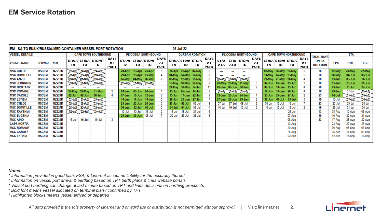### **EM Service Rotation**

|                       | 06-Jul-22<br>EM - SA TO EU/UK/RUSSIA/MED CONTAINER VESSEL PORT ROTATION |               |          |                           |                          |                                  |                          |                           |        |                                  |                          |                      |                         |                                  |                            |               |                          |                                  |           |                          |                   |                                  |                          |            |            |            |
|-----------------------|-------------------------------------------------------------------------|---------------|----------|---------------------------|--------------------------|----------------------------------|--------------------------|---------------------------|--------|----------------------------------|--------------------------|----------------------|-------------------------|----------------------------------|----------------------------|---------------|--------------------------|----------------------------------|-----------|--------------------------|-------------------|----------------------------------|--------------------------|------------|------------|------------|
| <b>VESSEL DETAILS</b> | <b>CAPE TOWN SOUTHBOUND</b>                                             |               |          |                           |                          | <b>PE/COEGA SOUTHBOUND</b>       |                          |                           |        |                                  | <b>DURBAN ROTATION</b>   |                      |                         |                                  | <b>PE/COEGA NORTHBOUND</b> |               |                          | <b>CAPE TOWN NORTHBOUND</b>      |           |                          | <b>TOTAL DAYS</b> |                                  | ETA                      |            |            |            |
| <b>VESSEL NAME</b>    | <b>SERVICE</b>                                                          | VOY.          | TA       | <b>IETAIA ETBIA</b><br>тв | <b>ETDIAT</b><br>D       | <b>DAYS</b><br>AT<br><b>PORT</b> | <b>ETAIA</b><br>TA       | <b>ETBIA ETDIA</b><br>TB. | TD     | <b>DAYS</b><br>AT<br><b>PORT</b> | TА                       | тв                   | ETAIA ETBIA ETDIA<br>TD | <b>DAYS</b><br>AT<br><b>PORT</b> | <b>ETAI</b><br>ATA         | ЕТВІ<br>ATB   | <b>ETDIA</b><br>TD       | <b>DAYS</b><br>AT<br><b>PORT</b> | TA        | ETAIA ETBIA ETDIA<br>тв  | TD                | <b>DAYS</b><br>AT<br><b>PORT</b> | ON SA<br><b>ROTATION</b> | <b>LPA</b> | <b>RTM</b> | <b>LGP</b> |
| <b>MSC CHLOE</b>      | <b>MSCEM</b>                                                            | <b>NZ216R</b> | 22.Aug   | $22$ Apr                  |                          |                                  | 20-Apr                   | 23-Apr                    | 25-Apr |                                  | 26-Apr                   | 26-Apr               | 02-May                  | 6                                | $\sim$                     | $\sim$        | $\sim$                   |                                  | 05-May    | 06-May                   | 10-May            |                                  | 20                       | 19-May     | 25-May     | 27-May     |
| <b>MSC DOMITILLE</b>  | <b>MSCEM</b>                                                            | <b>NZ218R</b> |          | 29 Apr                    |                          |                                  | 29-Apr                   | 29-Apr                    | 03-May |                                  | 04-May                   |                      | 04-May 12-May           |                                  |                            |               | $\sim$                   |                                  | 14 May    | 14-May                   | 19-May            |                                  | 20                       | 28-May     | 04-Jun     | 06-Jun     |
| <b>MSC ANZU</b>       | <b>MSCEM</b>                                                            | <b>NZ219R</b> | 17. MA V | 07.May                    |                          |                                  | 04-May                   | 04-May                    | 06-May |                                  | 09-May                   |                      | 12-May 18-May           |                                  |                            |               | 19. May                  |                                  | $20$ -May | 21-May                   | 24-May            |                                  | 20                       | 03-Jun     | 08-Jun     | 14-Jun     |
| <b>MSC JEONGMIN</b>   | <b>MSCEM</b>                                                            | <b>NZ220R</b> | R Mav    |                           |                          |                                  |                          | 17 May 17 May 17 May      |        |                                  |                          | 18-May 18-May 27-May |                         |                                  | 28-May                     |               | 31-May                   |                                  | 02-Jun    | $02$ -Jun                | 05-Jun            |                                  | 18                       | 15-Jun     | 23-Jun     | 21-Jun     |
| <b>MSC BRITTANY</b>   | <b>MSCEM</b>                                                            | <b>NZ221R</b> |          |                           | $\sim$                   |                                  |                          |                           |        |                                  |                          | 24-May 30-May 04-Jun |                         |                                  | 06-Jun                     | 06-Jun        | 08-Jun                   |                                  | 09-Jun    | $10 - Jun$               | 13-Jun            |                                  | 20                       | $23$ -Jun  | $01$ -Jul  | 29-Jun     |
| <b>MSC ROMANE</b>     | <b>MSCEM</b>                                                            | <b>NZ222R</b> | 29-May   | 29-May                    | 31-May                   |                                  | 03-Jun                   | $03 - Jun$                | 04-Jun |                                  | 05-Jun                   | $05$ -Jun            | 14-Jun                  |                                  | 15 Jun                     | 15 Jun 16 Jun |                          |                                  | 16-Jun    | $16$ -Jun                | 20-Jun            |                                  | 18                       | 29-Jun     | 07-Jul     |            |
| <b>MSC CAROLE</b>     | <b>MSCEM</b>                                                            | <b>NZ224R</b> | 02-Jun   | 02-Jun                    | 06-Jun                   |                                  | 07-Jun                   | 10-Jun                    | 12-Jun |                                  | 13-Jun                   | $17 - Jun$           | 22-Jun                  |                                  |                            | $23$ -Jun     | 24-Jun                   |                                  | 25-Jun    | 25-Jun                   | 27-Jun            |                                  | 25                       | 06-Jul     |            |            |
| <b>MSC LETIZIA</b>    | <b>MSCEM</b>                                                            | <b>NZ225R</b> |          | 11.HM                     |                          |                                  | 14-Jun                   | $17$ -Jun                 | 19-Jun |                                  | $20 - Jun$               | 21-Jun               | 27-Jun                  |                                  | $27 - Jun$                 | $28 - Jun$    | 29-Jun                   |                                  | 30-Jun    |                          | 03-Jul            |                                  | 19                       | $13 -$ Jul |            |            |
| <b>MSC CHLOE</b>      | <b>MSCEM</b>                                                            | <b>NZ226R</b> |          | 18. Jun                   |                          |                                  | 23-Jun                   | $25$ -Jun                 | 26-Jun |                                  | 27-Jun                   | 02-Jul               | 06-Jul                  |                                  | 07-Jul                     | 07-Jul        | 09-Jul                   |                                  | 09-Jul    | $10 -$ Jul               | 16-Jul            |                                  | 23                       | 23-Jul     | 29-Jul     | 28-Jul     |
| <b>MSC DOMITILLE</b>  | <b>MSCEM</b>                                                            | <b>NZ227R</b> |          | 23 Jun                    |                          |                                  | 30-Jun                   | 02-Jul                    | 03-Jul |                                  | 04-Jul                   | 04-Jul               | 08-Jul                  |                                  | $10 -$ Jul                 | 10-Jul        | 12-Jul                   |                                  | 14-Jul    | 15-Jul                   | 16-Jul            |                                  | 16                       | 25-Jul     | 31-Jul     | 30-Jul     |
| <b>MSC RAYSHMI</b>    | <b>MSCEM</b>                                                            | <b>NZ228R</b> |          |                           |                          |                                  | 13-Jul                   | 13-Jul                    | 15-Jul |                                  | 15-Jul                   | 16-Jul               | 21-Jul                  |                                  | ---                        | $\sim$        | $\sim$                   |                                  | $\sim$    | $\overline{\phantom{a}}$ | 26-Jul            |                                  | 13                       | 05-Aug     | 10-Aug     | 09-Aug     |
| <b>MSC EUGENIA</b>    | <b>MSCEM</b>                                                            | <b>NZ229R</b> |          | ---                       | $\overline{\phantom{a}}$ |                                  | $28$ -Jun                | 30-Jun                    | 05-Jul |                                  | 20-Jul                   | 20-Jul               | 25-Jul                  |                                  | --                         | $\sim$        | $\overline{\phantom{a}}$ |                                  | $\sim$    | $\cdots$                 | 07-Aug            |                                  | 40                       | 16-Aug     | 22-Aug     | 21 Aug     |
| <b>MSC AINO</b>       | <b>MSCEM</b>                                                            | <b>NZ230R</b> | 16-Jul   | 16-Jul                    | 19-Jul                   |                                  | $\overline{\phantom{a}}$ | $\sim$                    | $\sim$ |                                  | $\overline{\phantom{a}}$ | $\sim$               | $\sim$                  |                                  | $\overline{\phantom{a}}$   | $\sim$        | $\sim$                   |                                  | ---       | $\sim$                   | 08-Aug            |                                  | 23                       | 17-Aug     | 23-Aug     | 22-Aug     |
| <b>CAPE KORTIA</b>    | <b>MSCEM</b>                                                            | <b>NZ231R</b> |          |                           |                          |                                  |                          |                           |        |                                  |                          |                      |                         |                                  |                            |               |                          |                                  |           |                          | 13-Aug            |                                  |                          | 23-Aug     | 29-Aug     | 27-Aug     |
| <b>MSC ROMANE</b>     | <b>MSCEM</b>                                                            | <b>NZ232R</b> |          |                           |                          |                                  |                          |                           |        |                                  |                          |                      |                         |                                  |                            |               |                          |                                  |           |                          | 20-Aug            |                                  |                          | 30-Aug     | 05-Sep     | 03-Sep     |
| <b>MSC CAROLE</b>     | <b>MSCEM</b>                                                            | <b>NZ233R</b> |          |                           |                          |                                  |                          |                           |        |                                  |                          |                      |                         |                                  |                            |               |                          |                                  |           |                          | 26 Aug            |                                  |                          | 05-Sep     | 11-Sep     | 09-Sep     |
| <b>MSC LETIZIA</b>    | <b>MSCEM</b>                                                            | <b>NZ234R</b> |          |                           |                          |                                  |                          |                           |        |                                  |                          |                      |                         |                                  |                            |               |                          |                                  |           |                          | 02-Sep            |                                  |                          | $12-Sep$   | 18-Sep     | 17-Sep     |
|                       |                                                                         |               |          |                           |                          |                                  |                          |                           |        |                                  |                          |                      |                         |                                  |                            |               |                          |                                  |           |                          |                   |                                  |                          |            |            |            |

*Notes:*

*\* Information provided in good faith, FSA, & Linernet accept no liability for the accuracy thereof*

*\* Information on vessel port arrival & berthing based on TPT berth plans & lines website portals*

\* Vessel port berthing can change at last minute based on TPT and lines decisions on berthing prospects

*\* Bold font means vessel allocated on terminal plan / confirmed by TPT*

*\* Highlighted blocks means vessel arrived or departed*



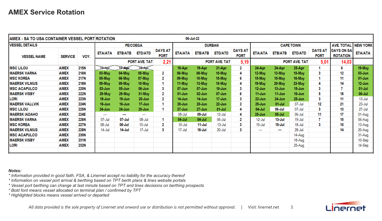| AMEX - SA TO USA CONTAINER VESSEL PORT ROTATION |                |             |           |                |                          |                               |                | 06-Jul-22      |                      |                               |                          |                  |                      |                               |                                      |                |
|-------------------------------------------------|----------------|-------------|-----------|----------------|--------------------------|-------------------------------|----------------|----------------|----------------------|-------------------------------|--------------------------|------------------|----------------------|-------------------------------|--------------------------------------|----------------|
| <b>VESSEL DETAILS</b>                           |                |             |           |                | <b>PE/COEGA</b>          |                               |                |                | <b>DURBAN</b>        |                               |                          | <b>CAPE TOWN</b> | <b>AVE. TOTAL</b>    | <b>NEW YORK</b>               |                                      |                |
| <b>VESSEL NAME</b>                              | <b>SERVICE</b> | VOY.        | ΕΤΑ/ΑΤΑ   | <b>ETB/ATB</b> | <b>ETD/ATD</b>           | <b>DAYS AT</b><br><b>PORT</b> | <b>ETA/ATA</b> | <b>ETB/ATB</b> | <b>ETD/ATD</b>       | <b>DAYS AT</b><br><b>PORT</b> | <b>ETA/ATA</b>           | <b>ETB/ATB</b>   | <b>ETD/ATD</b>       | <b>DAYS AT</b><br><b>PORT</b> | <b>DAYS ON SA</b><br><b>ROTATION</b> | <b>ETA/ATA</b> |
|                                                 |                |             |           |                | PORT AVE. TAT            | 2,21                          |                |                | <b>PORT AVE. TAT</b> | 5,19                          |                          |                  | <b>PORT AVE. TAT</b> | 5,01                          | 14,03                                |                |
| <b>MSC LILOU</b>                                | <b>AMEX</b>    | 215N        | 16-Apr    | 17 Apr         | 18-Apr                   |                               | 19-Apr         | 19-Apr         | 21-Apr               | 2                             | 24-Apr                   | 24-Apr           | 25-Apr               |                               | 6                                    | 19-May         |
| <b>MAERSK VARNA</b>                             | <b>AMEX</b>    | <b>216N</b> | 03-May    | 04-May         | 05-May                   | 2                             | 06-May         | 08-May         | 10-May               | 4                             | 12-May                   | 13-May           | 15-May               |                               | 12                                   | 03-Jun         |
| <b>MSC KOREA</b>                                | <b>AMEX</b>    | <b>217N</b> | 05-May    | 06-May         | 07-May                   | 2                             | 09-May         | 10-May         | 15-May               | 6                             | 15-May                   | 15-May           | 16-May               |                               | 11                                   | 01-Jun         |
| <b>MAERSK VILNIUS</b>                           | AMEX           | <b>218N</b> | 09-May    | 09-May         | 10-May                   |                               | 11-May         | 13-May         | 15-May               | 4                             | 19-May                   | 20-May           | 23-May               |                               | 14                                   | 12-Jun         |
| <b>MSC ACAPULCO</b>                             | <b>AMEX</b>    | <b>220N</b> | 03-Jun    | $05 - Jun$     | 06-Jun                   | 3                             | 07-Jun         | 07-Jun         | $10 - Jun$           | 3                             | 12-Jun                   | 13-Jun           | $15 - Jun$           |                               |                                      | 01-Jul         |
| <b>MAERSK VISBY</b>                             | <b>AMEX</b>    | <b>222N</b> | 29-May    | 29-May         | 31-May                   | 2                             | 01-Jun         | 02-Jun         | $07 - Jun$           | 6                             | $11$ -Jun                | 11-Jun           | 16-Jun               |                               | 18                                   | 06-Jul         |
| LORI                                            | <b>AMEX</b>    | 223N        | 18-Jun    | 19-Jun         | 20-Jun                   | 2                             | 14-Jun         | 14-Jun         | 17-Jun               | 3                             | $22 - Jun$               | 24-Jun           | $25 - Jun$           |                               | 11                                   | 13-Jul         |
| <b>MAERSK VALLVIK</b>                           | <b>AMEX</b>    | <b>224N</b> | 16-Jun    | 16-Jun         | $17 - Jun$               |                               | $20 - Jun$     | $20 - Jun$     | $22 - Jun$           | 2                             | $25 - Jun$               | 01-Jul           | 07-Jul               | 12                            | 21                                   | 23-Jul         |
| <b>MSC LILOU</b>                                | <b>AMEX</b>    | <b>225N</b> | 24-Jun    | 24-Jun         | $25 - Jun$               | -1                            | 27-Jun         | 27-Jun         | $01$ -Jul            | 4                             | 04-Jul                   | 06-Jul           | 07-Jul               |                               | 13                                   | 27-Jul         |
| <b>MAERSK IADAHO</b>                            | AMEX           | 224E        | ---       | .              | $\overline{\phantom{a}}$ |                               | 08-Jul         | 09-Jul         | 12-Jul               | 4                             | $25 - Jun$               | $05 -$ Jul       | 06-Jul               | 11                            | 17                                   | 01-Aug         |
| <b>MAERSK VARNA</b>                             | <b>AMEX</b>    | <b>226N</b> | 07-Jul    | 07-Jul         | 08-Jul                   |                               | 04-Jul         | 04-Jul         | 06-Jul               | 2                             | 12-Jul                   | 13-Jul           | 19-Jul               |                               | 15                                   | 06-Aug         |
| <b>MSC KOREA</b>                                | <b>AMEX</b>    | <b>227N</b> | 08-Jul    | 08-Jul         | $10 -$ Jul               | 2                             | 10-Jul         | 11-Jul         | 13-Jul               | 3                             | 15-Jul                   | 15-Jul           | 18-Jul               | 3                             | 10                                   | 13-Aug         |
| <b>MAERSK VILNIUS</b>                           | <b>AMEX</b>    | <b>228N</b> | $14$ -Jul | 14-Jul         | 17-Jul                   | 3                             | 17-Jul         | 18-Jul         | 20-Jul               | 3                             | $\overline{\phantom{a}}$ | $\sim$           | 28-Jul               |                               | 14                                   | 20-Aug         |
| <b>MSC ACAPULCO</b>                             | AMEX           | <b>230N</b> |           |                |                          |                               |                |                |                      |                               |                          |                  | 14-Aug               |                               |                                      | 31-Aug         |
| <b>MAERSK VISBY</b>                             | <b>AMEX</b>    | 231N        |           |                |                          |                               |                |                |                      |                               |                          |                  | 18-Aug               |                               |                                      | 10-Sep         |
| LORI                                            | <b>AMEX</b>    | 232N        |           |                |                          |                               |                |                |                      |                               |                          |                  | 25-Aug               |                               |                                      | 14-Sep         |
|                                                 |                |             |           |                |                          |                               |                |                |                      |                               |                          |                  |                      |                               |                                      |                |

*Notes:*

*\* Information provided in good faith, FSA, & Linernet accept no liability for the accuracy thereof*

*\* Information on vessel port arrival & berthing based on TPT berth plans & lines website portals*

\* Vessel port berthing can change at last minute based on TPT and lines decisions on berthing prospects

*\* Bold font means vessel allocated on terminal plan / confirmed by TPT*

*\* Highlighted blocks means vessel arrived or departed*

All data provided is the sole property of Linernet and onward use or distribution is not permitted without approval. | Visit: linernet.net 3.